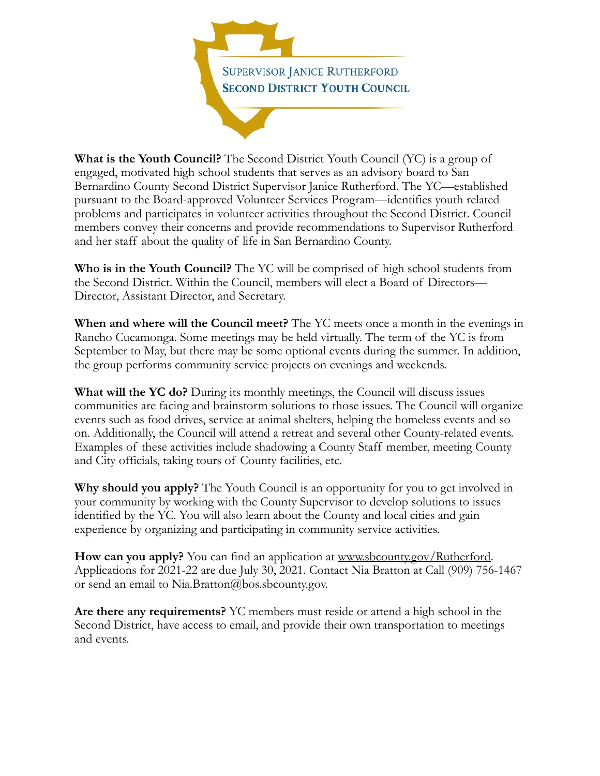

**What is the Youth Council?** The Second District Youth Council (YC) is a group of engaged, motivated high school students that serves as an advisory board to San Bernardino County Second District Supervisor Janice Rutherford. The YC—established pursuant to the Board-approved Volunteer Services Program—identifies youth related problems and participates in volunteer activities throughout the Second District. Council members convey their concerns and provide recommendations to Supervisor Rutherford and her staff about the quality of life in San Bernardino County.

**Who is in the Youth Council?** The YC will be comprised of high school students from the Second District. Within the Council, members will elect a Board of Directors— Director, Assistant Director, and Secretary.

**When and where will the Council meet?** The YC meets once a month in the evenings in Rancho Cucamonga. Some meetings may be held virtually. The term of the YC is from September to May, but there may be some optional events during the summer. In addition, the group performs community service projects on evenings and weekends.

**What will the YC do?** During its monthly meetings, the Council will discuss issues communities are facing and brainstorm solutions to those issues. The Council will organize events such as food drives, service at animal shelters, helping the homeless events and so on. Additionally, the Council will attend a retreat and several other County-related events. Examples of these activities include shadowing a County Staff member, meeting County and City officials, taking tours of County facilities, etc.

**Why should you apply?** The Youth Council is an opportunity for you to get involved in your community by working with the County Supervisor to develop solutions to issues identified by the YC. You will also learn about the County and local cities and gain experience by organizing and participating in community service activities.

**How can you apply?** You can find an application at [www.sbcounty.gov/Rutherford.](http://www.sbcounty.gov/Rutherford) Applications for 2021-22 are due July 30, 2021. Contact Nia Bratton at Call (909) 756-1467 or send an email to Nia.Bratton@bos.sbcounty.gov.

**Are there any requirements?** YC members must reside or attend a high school in the Second District, have access to email, and provide their own transportation to meetings and events.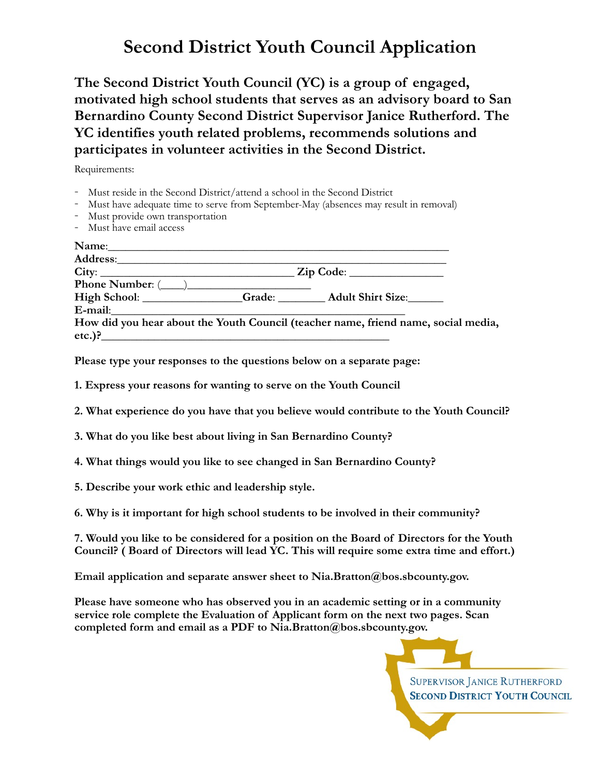## **Second District Youth Council Application**

**The Second District Youth Council (YC) is a group of engaged, motivated high school students that serves as an advisory board to San Bernardino County Second District Supervisor Janice Rutherford. The YC identifies youth related problems, recommends solutions and participates in volunteer activities in the Second District.** 

Requirements:

- 
- Must reside in the Second District/attend a school in the Second District<br>- Must have adequate time to serve from September-May (absences may result in removal)<br>- Must provide own transportation
- 
- Must have email access

| Address: Andreas Address and Address and Address and Address and Address and Address and Address and Address and Address and Address and Address and Address and Address and Address and Address and Address and Address and A |  |                                                                                    |
|--------------------------------------------------------------------------------------------------------------------------------------------------------------------------------------------------------------------------------|--|------------------------------------------------------------------------------------|
|                                                                                                                                                                                                                                |  |                                                                                    |
| Phone Number: $(\_\_)$                                                                                                                                                                                                         |  |                                                                                    |
|                                                                                                                                                                                                                                |  | High School: ______________Grade: ________Adult Shirt Size: ______                 |
| E-mail: <u>E-mail:</u>                                                                                                                                                                                                         |  |                                                                                    |
|                                                                                                                                                                                                                                |  | How did you hear about the Youth Council (teacher name, friend name, social media, |
| etc.)?                                                                                                                                                                                                                         |  |                                                                                    |

**Please type your responses to the questions below on a separate page:** 

**1. Express your reasons for wanting to serve on the Youth Council** 

- **2. What experience do you have that you believe would contribute to the Youth Council?**
- **3. What do you like best about living in San Bernardino County?**

**4. What things would you like to see changed in San Bernardino County?** 

**5. Describe your work ethic and leadership style.** 

**6. Why is it important for high school students to be involved in their community?** 

**7. Would you like to be considered for a position on the Board of Directors for the Youth Council? ( Board of Directors will lead YC. This will require some extra time and effort.)** 

**Email application and separate answer sheet to Nia.Bratton@bos.sbcounty.gov.** 

**Please have someone who has observed you in an academic setting or in a community service role complete the Evaluation of Applicant form on the next two pages. Scan completed form and email as a PDF to Nia.Bratton@bos.sbcounty.gov.**

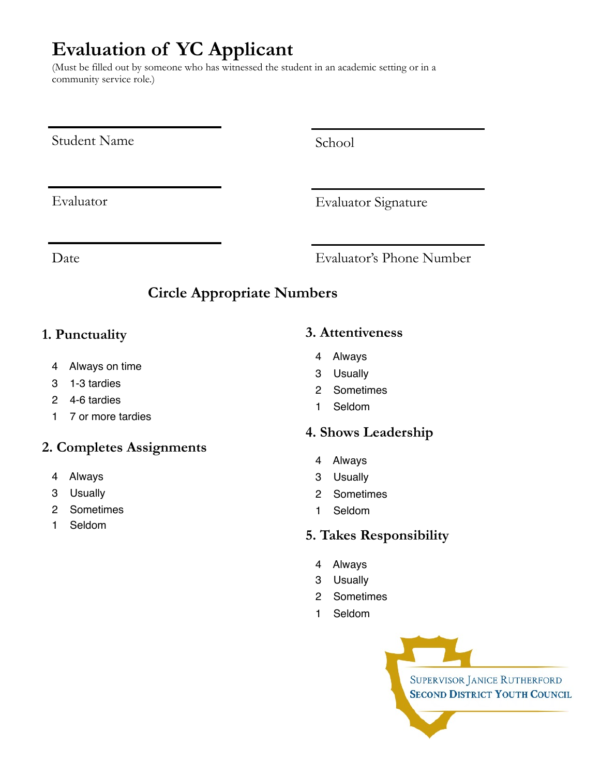# **Evaluation of YC Applicant**

(Must be filled out by someone who has witnessed the student in an academic setting or in a community service role.)

Student Name

School

Evaluator

Evaluator Signature

Date Evaluator's Phone Number

### **Circle Appropriate Numbers**

#### **1. Punctuality**

- 4 Always on time
- 3 1-3 tardies
- 2 4-6 tardies
- 1 7 or more tardies

#### **2. Completes Assignments**

- 4 Always
- 3 Usually
- 2 Sometimes
- 1 Seldom

#### **3. Attentiveness**

- 4 Always
- 
- 2 Sometimes
- 1 Seldom

#### **4. Shows Leadership**

- 4 Always
- 3 Usually
- 2 Sometimes
- 1 Seldom

#### **5. Takes Responsibility**

- 4 Always
- 3 Usually
- 2 Sometimes
- 1 Seldom



- 
- 3 Usually
-